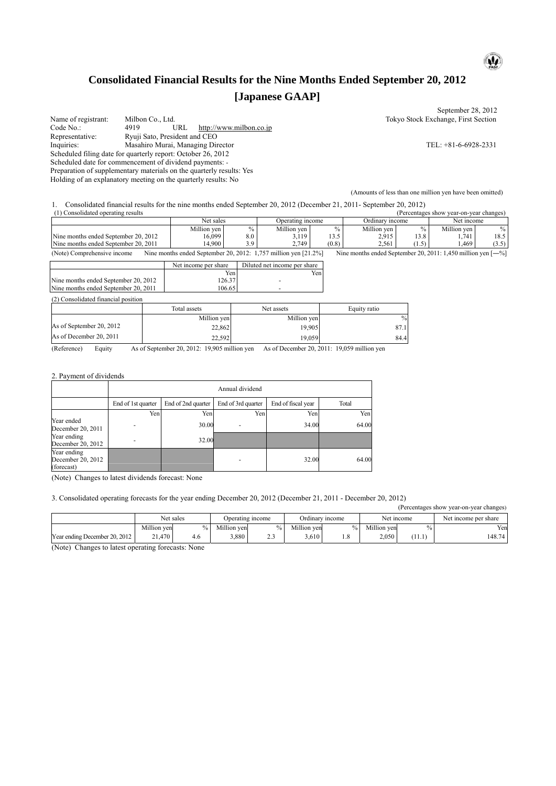## **Consolidated Financial Results for the Nine Months Ended September 20, 2012 [Japanese GAAP]**

| Name of registrant:                                                  | Milbon Co., Ltd.                  |     |                         |  |  |  |
|----------------------------------------------------------------------|-----------------------------------|-----|-------------------------|--|--|--|
| Code No.:                                                            | 4919                              | URL | http://www.milbon.co.jp |  |  |  |
| Representative:                                                      | Ryuji Sato, President and CEO     |     |                         |  |  |  |
| Inquiries:                                                           | Masahiro Murai, Managing Director |     |                         |  |  |  |
| Scheduled filing date for quarterly report: October 26, 2012         |                                   |     |                         |  |  |  |
| Scheduled date for commencement of dividend payments: -              |                                   |     |                         |  |  |  |
| Preparation of supplementary materials on the quarterly results: Yes |                                   |     |                         |  |  |  |
| Holding of an explanatory meeting on the quarterly results: No       |                                   |     |                         |  |  |  |

September 28, 2012 Tokyo Stock Exchange, First Section

Inquiries: Masahiro Murai, Managing Director TEL: +81-6-6928-2331

 $\omega$ 

(Amounts of less than one million yen have been omitted)

1. Consolidated financial results for the nine months ended September 20, 2012 (December 21, 2011- September 20, 2012)

| (1) Consolidated operating results<br>(Percentages show year-on-year changes) |                                                                   |      |                              |       |                                                                 |       |             |       |
|-------------------------------------------------------------------------------|-------------------------------------------------------------------|------|------------------------------|-------|-----------------------------------------------------------------|-------|-------------|-------|
|                                                                               | Net sales                                                         |      | Operating income             |       | Ordinary income                                                 |       | Net income  |       |
|                                                                               | Million yen                                                       | $\%$ | Million yen                  | $\%$  | Million yen                                                     | $\%$  | Million ven | $\%$  |
| Nine months ended September 20, 2012                                          | 16.099                                                            | 8.0  | 3,119                        | 13.5  | 2,915                                                           | 13.8  | 1.741       | 18.5  |
| Nine months ended September 20, 2011                                          | 14.900                                                            | 3.9  | 2.749                        | (0.8) | 2,561                                                           | (1.5) | ۔ 469، ،    | (3.5) |
| (Note) Comprehensive income                                                   | Nine months ended September 20, 2012: $1,757$ million yen [21.2%] |      |                              |       | Nine months ended September 20, 2011: 1,450 million yen $[-\%]$ |       |             |       |
|                                                                               | Net income per share                                              |      | Diluted net income per share |       |                                                                 |       |             |       |
|                                                                               |                                                                   | Yen  |                              | Yen   |                                                                 |       |             |       |
| Nine months ended September 20, 2012                                          | 126.37                                                            |      |                              |       |                                                                 |       |             |       |
| Nine months ended September 20, 2011                                          | 106.65                                                            |      |                              |       |                                                                 |       |             |       |
|                                                                               |                                                                   |      |                              |       |                                                                 |       |             |       |

(2) Consolidated financial position

|                          | Total assets | Net assets  | Equity ratio  |
|--------------------------|--------------|-------------|---------------|
|                          | Million yen  | Million yen | $\frac{0}{0}$ |
| As of September 20, 2012 | 22,862       | 19.905      | 87.1          |
| As of December 20, 2011  | 22,592       | 19.059      | 84.4          |

(Reference) Equity As of September 20, 2012: 19,905 million yen As of December 20, 2011: 19,059 million yen

2. Payment of dividends

|                                                | Annual dividend    |                    |                    |                    |       |  |  |
|------------------------------------------------|--------------------|--------------------|--------------------|--------------------|-------|--|--|
|                                                | End of 1st quarter | End of 2nd quarter | End of 3rd quarter | End of fiscal year | Total |  |  |
|                                                | Yen                | Yen                | Yen                | Yen                | Yen   |  |  |
| Year ended<br>December 20, 2011                |                    | 30.00              |                    | 34.00              | 64.00 |  |  |
| Year ending<br>December 20, 2012               |                    | 32.00              |                    |                    |       |  |  |
| Year ending<br>December 20, 2012<br>(forecast) |                    |                    |                    | 32.00              | 64.00 |  |  |

(Note) Changes to latest dividends forecast: None

3. Consolidated operating forecasts for the year ending December 20, 2012 (December 21, 2011 - December 20, 2012)

|                               |             |               |             |                  |             |                 |             |            | (Percentages show year-on-year changes) |
|-------------------------------|-------------|---------------|-------------|------------------|-------------|-----------------|-------------|------------|-----------------------------------------|
|                               |             | Net sales     |             | Operating income |             | Ordinary income |             | Net income | Net income per share                    |
|                               | Million ven | $\frac{0}{0}$ | Million ven | $\frac{0}{0}$    | Million ven | $\%$            | Million ven |            | Yen                                     |
| Year ending December 20, 2012 | 21.470      | 4.6           | 3.880       | $\sim$<br>د.ء    | 3.610       | 1.8             | 2.050       | (11.1)     | 148.74                                  |
|                               |             |               |             |                  |             |                 |             |            |                                         |

(Note) Changes to latest operating forecasts: None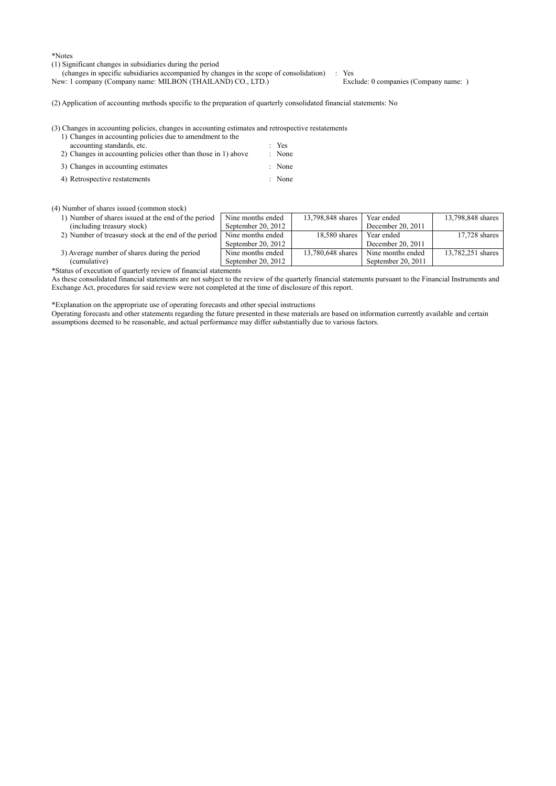\*Notes

(1) Significant changes in subsidiaries during the period

(changes in specific subsidiaries accompanied by changes in the scope of consolidation) : Yes<br>w: 1 company (Company name: MILBON (THAILAND) CO., LTD.) Exclude: 0 companies (Company name: ) New: 1 company (Company name: MILBON (THAILAND) CO., LTD.)

13,798,848 shares Year ended

18,580 shares Year ended

13,780,648 shares Nine months ended

December 20, 2011

December 20, 2011

September 20, 2011

13,798,848 shares

13,782,251 shares

17,728 shares

(2) Application of accounting methods specific to the preparation of quarterly consolidated financial statements: No

(3) Changes in accounting policies, changes in accounting estimates and retrospective restatements

| 1) Changes in accounting policies due to amendment to the      |        |
|----------------------------------------------------------------|--------|
| accounting standards, etc.                                     | $Y$ es |
| 2) Changes in accounting policies other than those in 1) above | : None |
| 3) Changes in accounting estimates                             | : None |
| 4) Retrospective restatements                                  | : None |

## (4) Number of shares issued (common stock)

- 1) Number of shares issued at the end of the period (including treasury stock) Nine months ended September 20, 2012 2) Number of treasury stock at the end of the period  $\sqrt{\phantom{a}}$  Nine months ended
- 
- 3) Average number of shares during the period (cumulative)

\*Status of execution of quarterly review of financial statements

As these consolidated financial statements are not subject to the review of the quarterly financial statements pursuant to the Financial Instruments and Exchange Act, procedures for said review were not completed at the time of disclosure of this report.

September 20, 2012

Nine months ended September 20, 2012

\*Explanation on the appropriate use of operating forecasts and other special instructions

Operating forecasts and other statements regarding the future presented in these materials are based on information currently available and certain assumptions deemed to be reasonable, and actual performance may differ substantially due to various factors.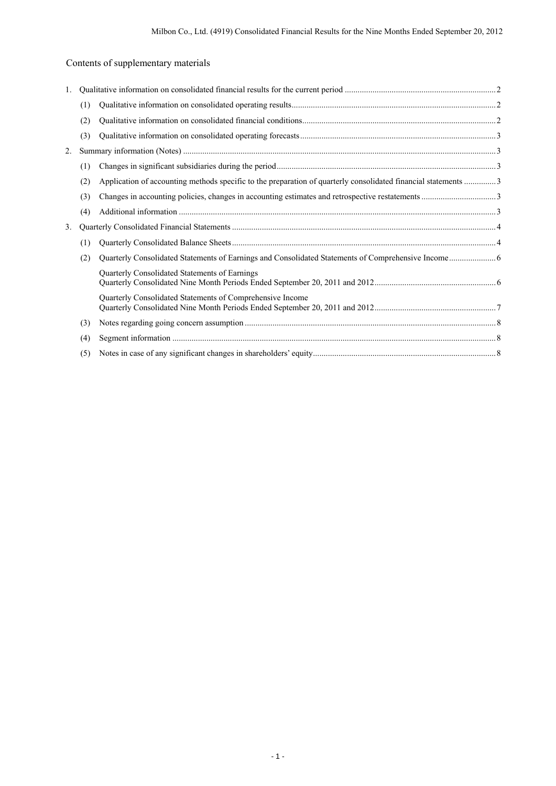## Contents of supplementary materials

| 1. |     |                                                                                                                |  |
|----|-----|----------------------------------------------------------------------------------------------------------------|--|
|    | (1) |                                                                                                                |  |
|    | (2) |                                                                                                                |  |
|    | (3) |                                                                                                                |  |
| 2. |     |                                                                                                                |  |
|    | (1) |                                                                                                                |  |
|    | (2) | Application of accounting methods specific to the preparation of quarterly consolidated financial statements 3 |  |
|    | (3) |                                                                                                                |  |
|    | (4) |                                                                                                                |  |
| 3. |     |                                                                                                                |  |
|    | (1) |                                                                                                                |  |
|    | (2) |                                                                                                                |  |
|    |     | Quarterly Consolidated Statements of Earnings                                                                  |  |
|    |     | Quarterly Consolidated Statements of Comprehensive Income                                                      |  |
|    | (3) |                                                                                                                |  |
|    | (4) |                                                                                                                |  |
|    | (5) |                                                                                                                |  |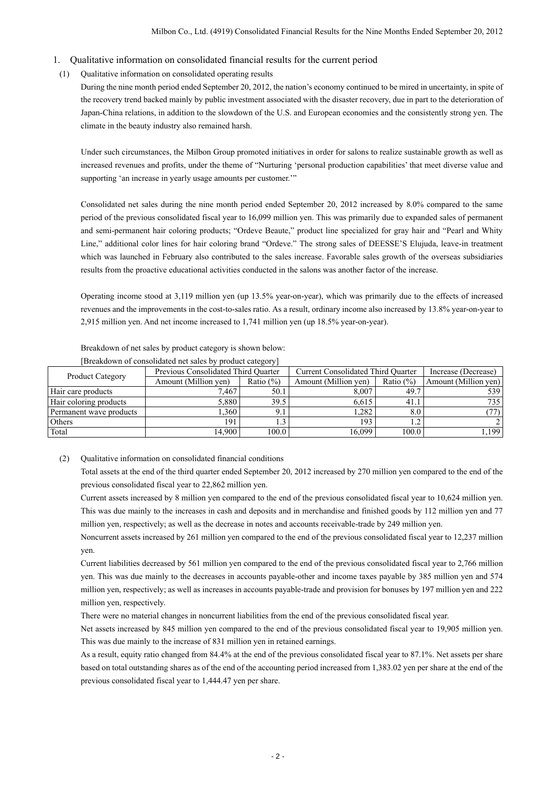- 1. Qualitative information on consolidated financial results for the current period
- (1) Qualitative information on consolidated operating results

 During the nine month period ended September 20, 2012, the nation's economy continued to be mired in uncertainty, in spite of the recovery trend backed mainly by public investment associated with the disaster recovery, due in part to the deterioration of Japan-China relations, in addition to the slowdown of the U.S. and European economies and the consistently strong yen. The climate in the beauty industry also remained harsh.

Under such circumstances, the Milbon Group promoted initiatives in order for salons to realize sustainable growth as well as increased revenues and profits, under the theme of "Nurturing 'personal production capabilities' that meet diverse value and supporting 'an increase in yearly usage amounts per customer.'"

Consolidated net sales during the nine month period ended September 20, 2012 increased by 8.0% compared to the same period of the previous consolidated fiscal year to 16,099 million yen. This was primarily due to expanded sales of permanent and semi-permanent hair coloring products; "Ordeve Beaute," product line specialized for gray hair and "Pearl and Whity Line," additional color lines for hair coloring brand "Ordeve." The strong sales of DEESSE'S Elujuda, leave-in treatment which was launched in February also contributed to the sales increase. Favorable sales growth of the overseas subsidiaries results from the proactive educational activities conducted in the salons was another factor of the increase.

Operating income stood at 3,119 million yen (up 13.5% year-on-year), which was primarily due to the effects of increased revenues and the improvements in the cost-to-sales ratio. As a result, ordinary income also increased by 13.8% year-on-year to 2,915 million yen. And net income increased to 1,741 million yen (up 18.5% year-on-year).

| <b>Product Category</b> | Previous Consolidated Third Quarter |              | <b>Current Consolidated Third Quarter</b> | Increase (Decrease) |                      |
|-------------------------|-------------------------------------|--------------|-------------------------------------------|---------------------|----------------------|
|                         | Amount (Million yen)                | Ratio $(\%)$ | Amount (Million yen)                      | Ratio $(\%)$        | Amount (Million yen) |
| Hair care products      | 7.467                               | 50.1         | 8.007                                     | 49.7                | 539                  |
| Hair coloring products  | 5.880                               | 39.5         | 6,615                                     | 41.1                | 7351                 |
| Permanent wave products | .360                                | 9.1          | .282                                      | 8.0                 |                      |
| Others                  | 191                                 |              | 193                                       |                     |                      |
| Total                   | 14.900                              | 100.0        | 16.099                                    | 100.0               | 1,199                |

Breakdown of net sales by product category is shown below: [Breakdown of consolidated net sales by product category]

(2) Qualitative information on consolidated financial conditions

Total assets at the end of the third quarter ended September 20, 2012 increased by 270 million yen compared to the end of the previous consolidated fiscal year to 22,862 million yen.

Current assets increased by 8 million yen compared to the end of the previous consolidated fiscal year to 10,624 million yen. This was due mainly to the increases in cash and deposits and in merchandise and finished goods by 112 million yen and 77 million yen, respectively; as well as the decrease in notes and accounts receivable-trade by 249 million yen.

Noncurrent assets increased by 261 million yen compared to the end of the previous consolidated fiscal year to 12,237 million yen.

Current liabilities decreased by 561 million yen compared to the end of the previous consolidated fiscal year to 2,766 million yen. This was due mainly to the decreases in accounts payable-other and income taxes payable by 385 million yen and 574 million yen, respectively; as well as increases in accounts payable-trade and provision for bonuses by 197 million yen and 222 million yen, respectively.

There were no material changes in noncurrent liabilities from the end of the previous consolidated fiscal year.

Net assets increased by 845 million yen compared to the end of the previous consolidated fiscal year to 19,905 million yen. This was due mainly to the increase of 831 million yen in retained earnings.

As a result, equity ratio changed from 84.4% at the end of the previous consolidated fiscal year to 87.1%. Net assets per share based on total outstanding shares as of the end of the accounting period increased from 1,383.02 yen per share at the end of the previous consolidated fiscal year to 1,444.47 yen per share.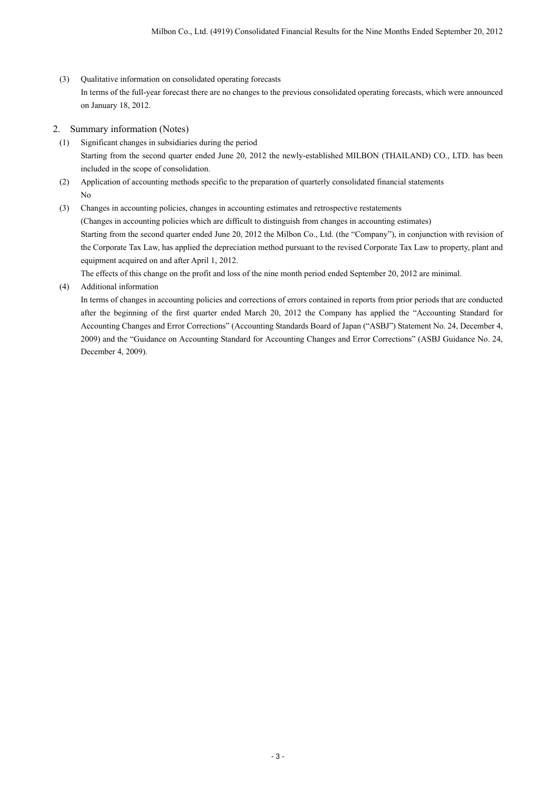- (3) Qualitative information on consolidated operating forecasts In terms of the full-year forecast there are no changes to the previous consolidated operating forecasts, which were announced on January 18, 2012.
- 2. Summary information (Notes)
	- (1) Significant changes in subsidiaries during the period Starting from the second quarter ended June 20, 2012 the newly-established MILBON (THAILAND) CO., LTD. has been included in the scope of consolidation.
	- (2) Application of accounting methods specific to the preparation of quarterly consolidated financial statements No

(3) Changes in accounting policies, changes in accounting estimates and retrospective restatements (Changes in accounting policies which are difficult to distinguish from changes in accounting estimates) Starting from the second quarter ended June 20, 2012 the Milbon Co., Ltd. (the "Company"), in conjunction with revision of the Corporate Tax Law, has applied the depreciation method pursuant to the revised Corporate Tax Law to property, plant and equipment acquired on and after April 1, 2012. The effects of this change on the profit and loss of the nine month period ended September 20, 2012 are minimal.

(4) Additional information

In terms of changes in accounting policies and corrections of errors contained in reports from prior periods that are conducted after the beginning of the first quarter ended March 20, 2012 the Company has applied the "Accounting Standard for Accounting Changes and Error Corrections" (Accounting Standards Board of Japan ("ASBJ") Statement No. 24, December 4, 2009) and the "Guidance on Accounting Standard for Accounting Changes and Error Corrections" (ASBJ Guidance No. 24, December 4, 2009).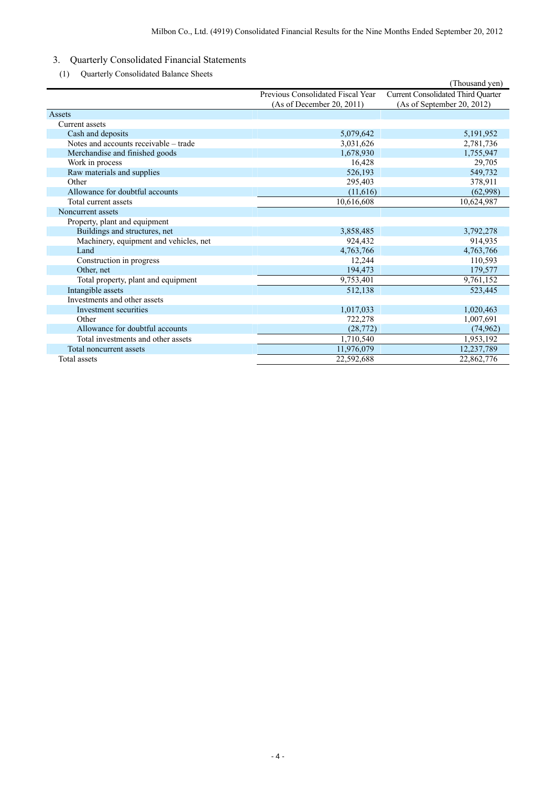## 3. Quarterly Consolidated Financial Statements

(1) Quarterly Consolidated Balance Sheets

| $\left(1\right)$<br>Quarterly Consonuated Dalance Sheets |                                   | (Thousand yen)                            |
|----------------------------------------------------------|-----------------------------------|-------------------------------------------|
|                                                          | Previous Consolidated Fiscal Year | <b>Current Consolidated Third Quarter</b> |
|                                                          | (As of December 20, 2011)         | (As of September 20, 2012)                |
| Assets                                                   |                                   |                                           |
| Current assets                                           |                                   |                                           |
| Cash and deposits                                        | 5,079,642                         | 5, 191, 952                               |
| Notes and accounts receivable – trade                    | 3,031,626                         | 2,781,736                                 |
| Merchandise and finished goods                           | 1,678,930                         | 1,755,947                                 |
| Work in process                                          | 16,428                            | 29,705                                    |
| Raw materials and supplies                               | 526,193                           | 549,732                                   |
| Other                                                    | 295,403                           | 378,911                                   |
| Allowance for doubtful accounts                          | (11,616)                          | (62,998)                                  |
| Total current assets                                     | 10,616,608                        | 10,624,987                                |
| Noncurrent assets                                        |                                   |                                           |
| Property, plant and equipment                            |                                   |                                           |
| Buildings and structures, net                            | 3,858,485                         | 3,792,278                                 |
| Machinery, equipment and vehicles, net                   | 924.432                           | 914,935                                   |
| Land                                                     | 4,763,766                         | 4,763,766                                 |
| Construction in progress                                 | 12,244                            | 110,593                                   |
| Other, net                                               | 194,473                           | 179,577                                   |
| Total property, plant and equipment                      | 9,753,401                         | 9,761,152                                 |
| Intangible assets                                        | 512,138                           | 523,445                                   |
| Investments and other assets                             |                                   |                                           |
| Investment securities                                    | 1,017,033                         | 1,020,463                                 |
| Other                                                    | 722,278                           | 1,007,691                                 |
| Allowance for doubtful accounts                          | (28, 772)                         | (74, 962)                                 |
| Total investments and other assets                       | 1,710,540                         | 1,953,192                                 |
| Total noncurrent assets                                  | 11,976,079                        | 12,237,789                                |
| Total assets                                             | 22,592,688                        | 22,862,776                                |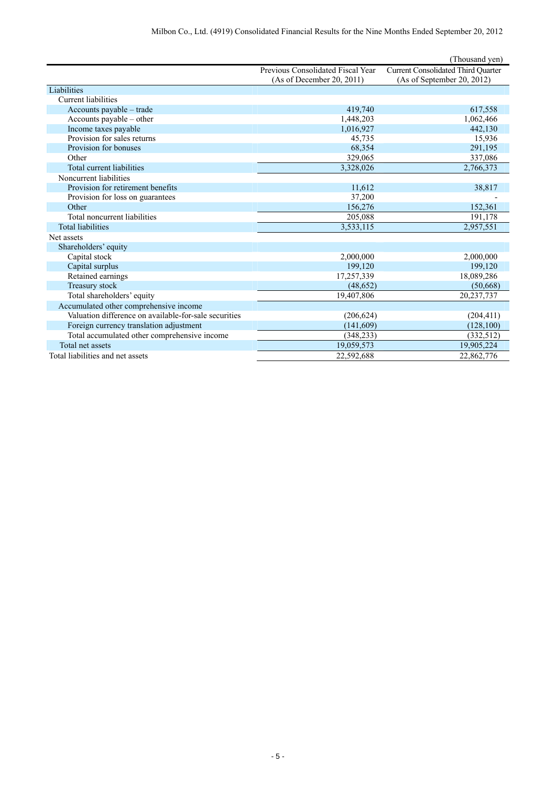|                                                       |                                   | (Thousand yen)                     |
|-------------------------------------------------------|-----------------------------------|------------------------------------|
|                                                       | Previous Consolidated Fiscal Year | Current Consolidated Third Quarter |
|                                                       | (As of December 20, 2011)         | (As of September 20, 2012)         |
| Liabilities                                           |                                   |                                    |
| Current liabilities                                   |                                   |                                    |
| Accounts payable - trade                              | 419,740                           | 617,558                            |
| Accounts payable – other                              | 1,448,203                         | 1,062,466                          |
| Income taxes payable                                  | 1,016,927                         | 442,130                            |
| Provision for sales returns                           | 45,735                            | 15,936                             |
| Provision for bonuses                                 | 68,354                            | 291,195                            |
| Other                                                 | 329,065                           | 337,086                            |
| Total current liabilities                             | 3,328,026                         | 2,766,373                          |
| Noncurrent liabilities                                |                                   |                                    |
| Provision for retirement benefits                     | 11,612                            | 38,817                             |
| Provision for loss on guarantees                      | 37,200                            |                                    |
| Other                                                 | 156,276                           | 152,361                            |
| Total noncurrent liabilities                          | 205,088                           | 191,178                            |
| <b>Total liabilities</b>                              | 3,533,115                         | 2,957,551                          |
| Net assets                                            |                                   |                                    |
| Shareholders' equity                                  |                                   |                                    |
| Capital stock                                         | 2,000,000                         | 2,000,000                          |
| Capital surplus                                       | 199.120                           | 199,120                            |
| Retained earnings                                     | 17,257,339                        | 18,089,286                         |
| Treasury stock                                        | (48, 652)                         | (50,668)                           |
| Total shareholders' equity                            | 19,407,806                        | 20,237,737                         |
| Accumulated other comprehensive income                |                                   |                                    |
| Valuation difference on available-for-sale securities | (206, 624)                        | (204, 411)                         |
| Foreign currency translation adjustment               | (141,609)                         | (128,100)                          |
| Total accumulated other comprehensive income          | (348, 233)                        | (332, 512)                         |
| Total net assets                                      | 19,059,573                        | 19,905,224                         |
| Total liabilities and net assets                      | 22,592,688                        | 22,862,776                         |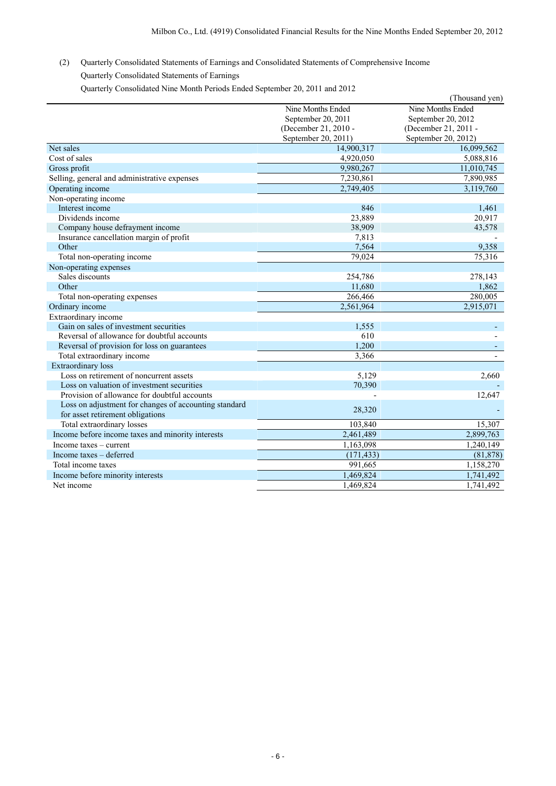(2) Quarterly Consolidated Statements of Earnings and Consolidated Statements of Comprehensive Income Quarterly Consolidated Statements of Earnings

Quarterly Consolidated Nine Month Periods Ended September 20, 2011 and 2012

|                                                       |                        | (Thousand yen)       |
|-------------------------------------------------------|------------------------|----------------------|
|                                                       | Nine Months Ended      | Nine Months Ended    |
|                                                       | September 20, 2011     | September 20, 2012   |
|                                                       | (December 21, 2010 -   | (December 21, 2011 - |
|                                                       | September 20, 2011)    | September 20, 2012)  |
| Net sales                                             | 14,900,317             | 16,099,562           |
| Cost of sales                                         | 4,920,050              | 5,088,816            |
| Gross profit                                          | 9,980,267              | 11,010,745           |
| Selling, general and administrative expenses          | $\overline{7,230,861}$ | 7,890,985            |
| Operating income                                      | 2,749,405              | 3,119,760            |
| Non-operating income                                  |                        |                      |
| Interest income                                       | 846                    | 1,461                |
| Dividends income                                      | 23,889                 | 20,917               |
| Company house defrayment income                       | 38,909                 | 43,578               |
| Insurance cancellation margin of profit               | 7,813                  |                      |
| Other                                                 | 7,564                  | 9,358                |
| Total non-operating income                            | 79,024                 | 75,316               |
| Non-operating expenses                                |                        |                      |
| Sales discounts                                       | 254,786                | 278,143              |
| Other                                                 | 11,680                 | 1,862                |
| Total non-operating expenses                          | 266,466                | 280,005              |
| Ordinary income                                       | 2,561,964              | 2,915,071            |
| Extraordinary income                                  |                        |                      |
| Gain on sales of investment securities                | 1,555                  |                      |
| Reversal of allowance for doubtful accounts           | 610                    |                      |
| Reversal of provision for loss on guarantees          | 1.200                  |                      |
| Total extraordinary income                            | 3,366                  |                      |
| <b>Extraordinary</b> loss                             |                        |                      |
| Loss on retirement of noncurrent assets               | 5,129                  | 2,660                |
| Loss on valuation of investment securities            | 70,390                 |                      |
| Provision of allowance for doubtful accounts          |                        | 12,647               |
| Loss on adjustment for changes of accounting standard | 28,320                 |                      |
| for asset retirement obligations                      |                        |                      |
| Total extraordinary losses                            | 103,840                | 15,307               |
| Income before income taxes and minority interests     | 2,461,489              | 2,899,763            |
| Income taxes – current                                | 1,163,098              | 1,240,149            |
| Income taxes - deferred                               | (171, 433)             | (81, 878)            |
| Total income taxes                                    | 991,665                | 1,158,270            |
| Income before minority interests                      | 1,469,824              | 1,741,492            |
| Net income                                            | 1.469.824              | 1,741,492            |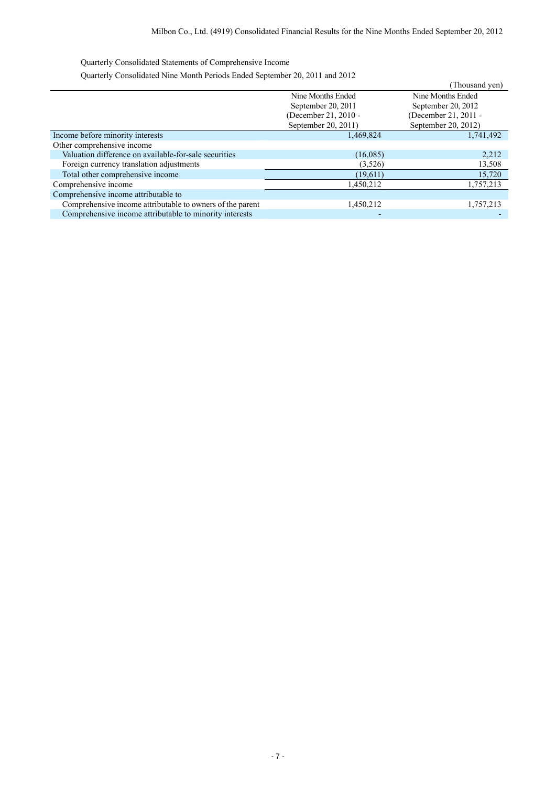Quarterly Consolidated Statements of Comprehensive Income

Quarterly Consolidated Nine Month Periods Ended September 20, 2011 and 2012

| Quarterly Consontance Frine Month I crious Ended September 20, 2011 and 2012 |                      | (Thousand yen)       |
|------------------------------------------------------------------------------|----------------------|----------------------|
|                                                                              | Nine Months Ended    | Nine Months Ended    |
|                                                                              | September 20, 2011   | September 20, 2012   |
|                                                                              | (December 21, 2010 - | (December 21, 2011 - |
|                                                                              | September 20, 2011)  | September 20, 2012)  |
| Income before minority interests                                             | 1,469,824            | 1,741,492            |
| Other comprehensive income                                                   |                      |                      |
| Valuation difference on available-for-sale securities                        | (16,085)             | 2,212                |
| Foreign currency translation adjustments                                     | (3,526)              | 13,508               |
| Total other comprehensive income                                             | (19,611)             | 15,720               |
| Comprehensive income                                                         | 1,450,212            | 1,757,213            |
| Comprehensive income attributable to                                         |                      |                      |
| Comprehensive income attributable to owners of the parent                    | 1,450,212            | 1,757,213            |
| Comprehensive income attributable to minority interests                      |                      |                      |